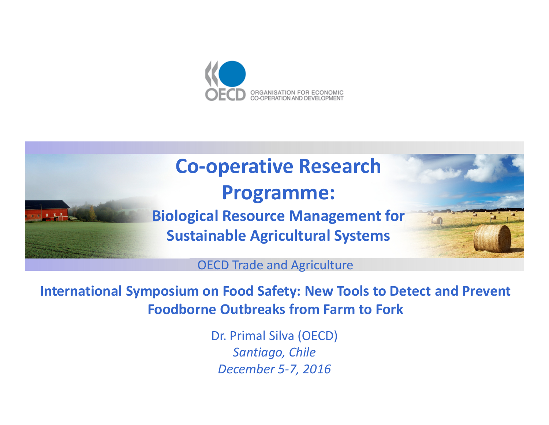

# **Co-operative Research Programme:Biological Resource Management for Sustainable Agricultural Systems**



OECD Trade and Agriculture

**International Symposium on Food Safety: New Tools to Detect and Prevent Foodborne Outbreaks from Farm to Fork**

> Dr. Primal Silva (OECD)*Santiago, ChileDecember 5-7, 2016*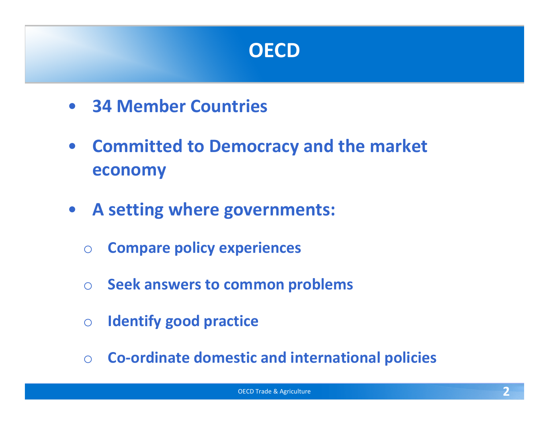

- **34 Member Countries**
- **Committed to Democracy and the market economy**
- **A setting where governments:**
	- o**Compare policy experiences**
	- o**Seek answers to common problems**
	- o**Identify good practice**
	- o**Co-ordinate domestic and international policies**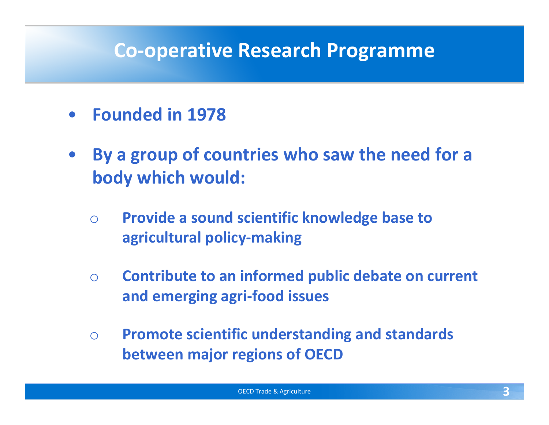#### **Co-operative Research Programme**

- •**Founded in 1978**
- • **By a group of countries who saw the need for a body which would:**
	- $\bigcirc$  **Provide a sound scientific knowledge base to agricultural policy-making**
	- o **Contribute to an informed public debate on current and emerging agri-food issues**
	- $\bigcirc$  **Promote scientific understanding and standards between major regions of OECD**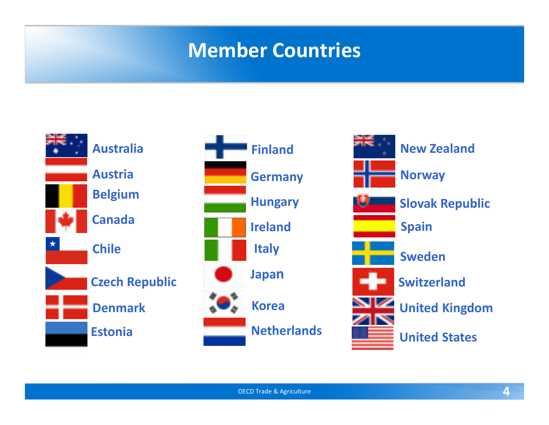### **Member Countries**





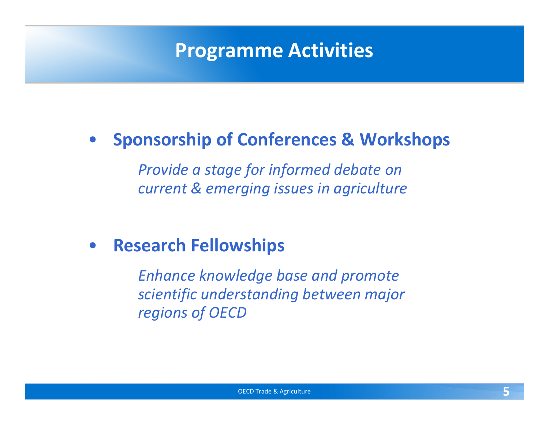## **Programme Activities**

# • **Sponsorship of Conferences & Workshops**

*Provide a stage for informed debate on current & emerging issues in agriculture*

#### $\bullet$ **Research Fellowships**

*Enhance knowledge base and promote scientific understanding between major regions of OECD*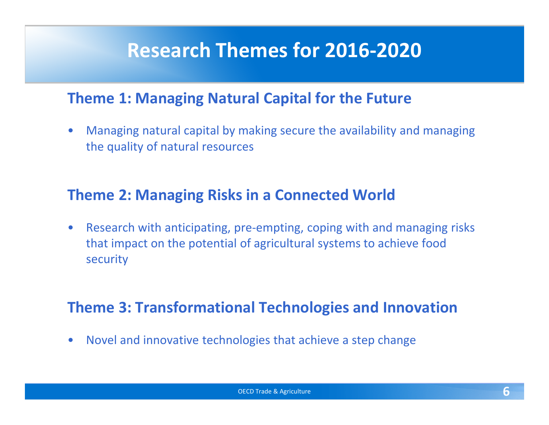### **Research Themes for 2016-2020**

#### **Theme 1: Managing Natural Capital for the Future**

 $\bullet$  Managing natural capital by making secure the availability and managing the quality of natural resources

#### **Theme 2: Managing Risks in a Connected World**

 $\bullet$  Research with anticipating, pre-empting, coping with and managing risks that impact on the potential of agricultural systems to achieve food security

#### **Theme 3: Transformational Technologies and Innovation**

 $\bullet$ Novel and innovative technologies that achieve a step change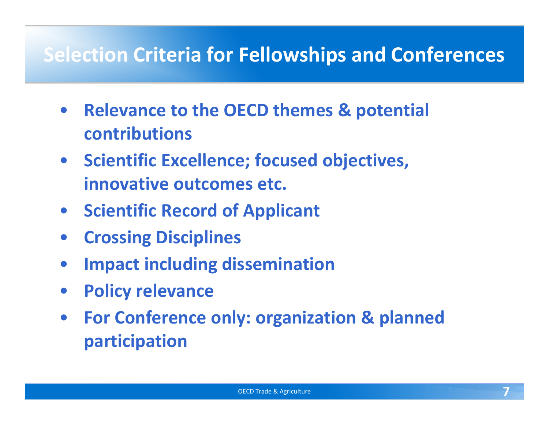### **Selection Criteria for Fellowships and Conferences**

- **Relevance to the OECD themes & potential contributions**
- **Scientific Excellence; focused objectives, innovative outcomes etc.**
- **Scientific Record of Applicant**
- $\bullet$ **Crossing Disciplines**
- $\bullet$ **Impact including dissemination**
- $\bullet$ **Policy relevance**
- $\bullet$  **For Conference only: organization & planned participation**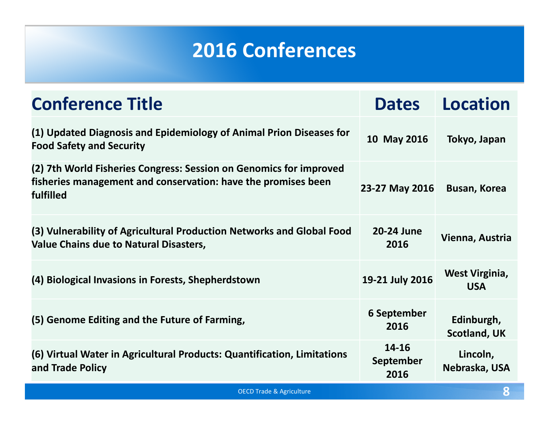# **2016 Conferences**

| <b>Conference Title</b>                                                                                                                          | <b>Dates</b>                      | <b>Location</b>                     |  |
|--------------------------------------------------------------------------------------------------------------------------------------------------|-----------------------------------|-------------------------------------|--|
| (1) Updated Diagnosis and Epidemiology of Animal Prion Diseases for<br><b>Food Safety and Security</b>                                           | 10 May 2016                       | Tokyo, Japan                        |  |
| (2) 7th World Fisheries Congress: Session on Genomics for improved<br>fisheries management and conservation: have the promises been<br>fulfilled | 23-27 May 2016                    | <b>Busan, Korea</b>                 |  |
| (3) Vulnerability of Agricultural Production Networks and Global Food<br><b>Value Chains due to Natural Disasters,</b>                           | 20-24 June<br>2016                | Vienna, Austria                     |  |
| (4) Biological Invasions in Forests, Shepherdstown                                                                                               | 19-21 July 2016                   | <b>West Virginia,</b><br><b>USA</b> |  |
| (5) Genome Editing and the Future of Farming,                                                                                                    | <b>6 September</b><br>2016        | Edinburgh,<br><b>Scotland, UK</b>   |  |
| (6) Virtual Water in Agricultural Products: Quantification, Limitations<br>and Trade Policy                                                      | 14-16<br><b>September</b><br>2016 | Lincoln,<br>Nebraska, USA           |  |
| 8<br><b>OECD Trade &amp; Agriculture</b>                                                                                                         |                                   |                                     |  |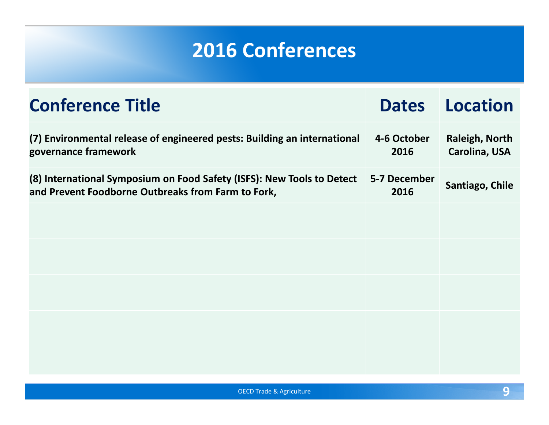# **2016 Conferences**

| <b>Conference Title</b>                                                                                                      | <b>Dates</b>         | <b>Location</b>                        |
|------------------------------------------------------------------------------------------------------------------------------|----------------------|----------------------------------------|
| (7) Environmental release of engineered pests: Building an international<br>governance framework                             | 4-6 October<br>2016  | <b>Raleigh, North</b><br>Carolina, USA |
| (8) International Symposium on Food Safety (ISFS): New Tools to Detect<br>and Prevent Foodborne Outbreaks from Farm to Fork, | 5-7 December<br>2016 | Santiago, Chile                        |
|                                                                                                                              |                      |                                        |
|                                                                                                                              |                      |                                        |
|                                                                                                                              |                      |                                        |
|                                                                                                                              |                      |                                        |
|                                                                                                                              |                      |                                        |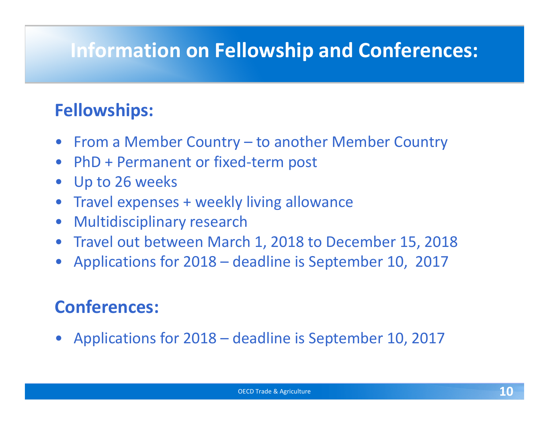# **Information on Fellowship and Conferences:**

#### **Fellowships:**

- From a Member Country to another Member Country
- PhD + Permanent or fixed-term post
- $\bullet$ Up to 26 weeks
- Travel expenses + weekly living allowance
- $\bullet$ Multidisciplinary research
- Travel out between March 1, 2018 to December 15, 2018
- Applications for 2018 deadline is September 10, 2017

#### **Conferences:**

• Applications for 2018 – deadline is September 10, 2017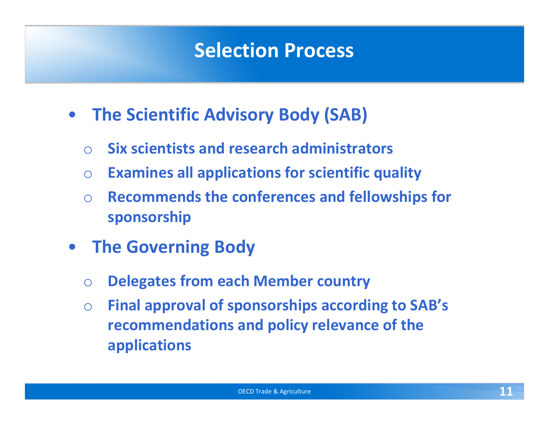### **Selection Process**

- **The Scientific Advisory Body (SAB)**
	- $\bigcirc$ **Six scientists and research administrators**
	- o**Examines all applications for scientific quality**
	- o **Recommends the conferences and fellowships for sponsorship**
- **The Governing Body**
	- o**Delegates from each Member country**
	- o **Final approval of sponsorships according to SAB's recommendations and policy relevance of the applications**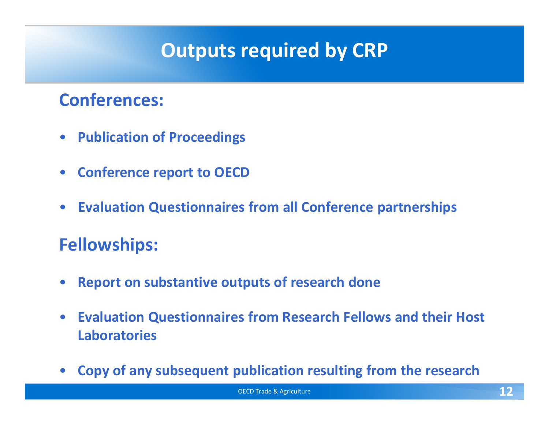# **Outputs required by CRP**

#### **Conferences:**

- $\bullet$ **Publication of Proceedings**
- $\bullet$ **Conference report to OECD**
- $\bullet$ **Evaluation Questionnaires from all Conference partnerships**

#### **Fellowships:**

- $\bullet$ **Report on substantive outputs of research done**
- $\bullet$  **Evaluation Questionnaires from Research Fellows and their Host Laboratories**
- $\bullet$ **Copy of any subsequent publication resulting from the research**

OECD Trade & Agriculture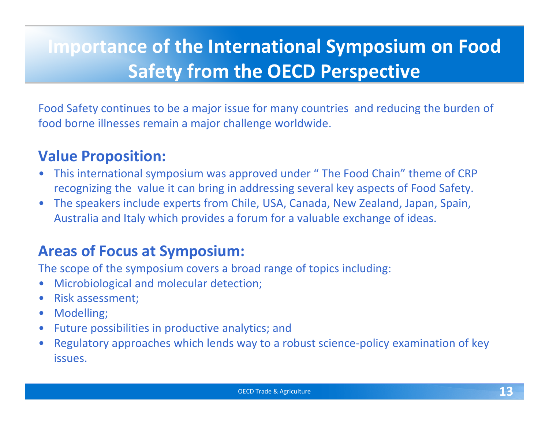# **Importance of the International Symposium on Food Safety from the OECD Perspective**

Food Safety continues to be a major issue for many countries and reducing the burden of food borne illnesses remain a major challenge worldwide.

#### **Value Proposition:**

- $\bullet$  This international symposium was approved under " The Food Chain" theme of CRP recognizing the value it can bring in addressing several key aspects of Food Safety.
- $\bullet$  The speakers include experts from Chile, USA, Canada, New Zealand, Japan, Spain, Australia and Italy which provides a forum for a valuable exchange of ideas.

#### **Areas of Focus at Symposium:**

The scope of the symposium covers a broad range of topics including:

- $\bullet$ Microbiological and molecular detection;
- $\bullet$ Risk assessment;
- $\bullet$ Modelling;
- •Future possibilities in productive analytics; and
- $\bullet$  Regulatory approaches which lends way to a robust science-policy examination of key issues.